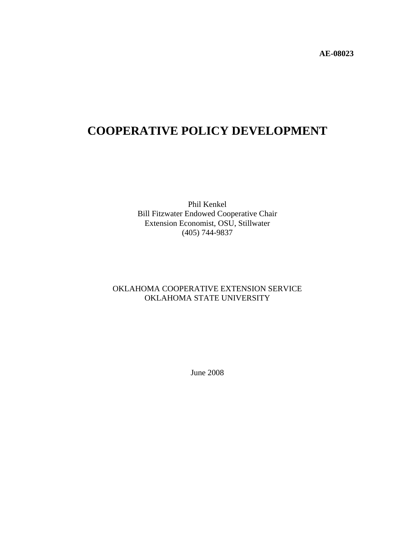**AE-08023**

# **COOPERATIVE POLICY DEVELOPMENT**

Phil Kenkel Bill Fitzwater Endowed Cooperative Chair Extension Economist, OSU, Stillwater (405) 744-9837

# OKLAHOMA COOPERATIVE EXTENSION SERVICE OKLAHOMA STATE UNIVERSITY

June 2008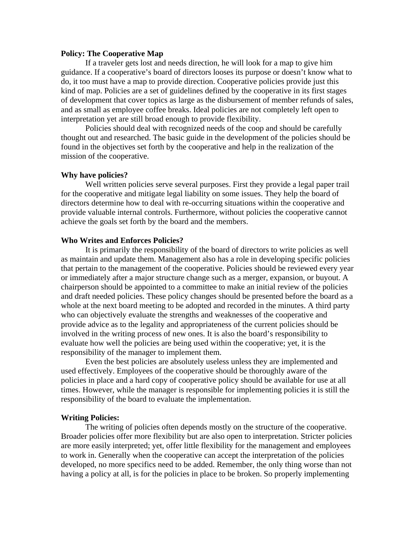### **Policy: The Cooperative Map**

 If a traveler gets lost and needs direction, he will look for a map to give him guidance. If a cooperative's board of directors looses its purpose or doesn't know what to do, it too must have a map to provide direction. Cooperative policies provide just this kind of map. Policies are a set of guidelines defined by the cooperative in its first stages of development that cover topics as large as the disbursement of member refunds of sales, and as small as employee coffee breaks. Ideal policies are not completely left open to interpretation yet are still broad enough to provide flexibility.

Policies should deal with recognized needs of the coop and should be carefully thought out and researched. The basic guide in the development of the policies should be found in the objectives set forth by the cooperative and help in the realization of the mission of the cooperative.

#### **Why have policies?**

Well written policies serve several purposes. First they provide a legal paper trail for the cooperative and mitigate legal liability on some issues. They help the board of directors determine how to deal with re-occurring situations within the cooperative and provide valuable internal controls. Furthermore, without policies the cooperative cannot achieve the goals set forth by the board and the members.

#### **Who Writes and Enforces Policies?**

 It is primarily the responsibility of the board of directors to write policies as well as maintain and update them. Management also has a role in developing specific policies that pertain to the management of the cooperative. Policies should be reviewed every year or immediately after a major structure change such as a merger, expansion, or buyout. A chairperson should be appointed to a committee to make an initial review of the policies and draft needed policies. These policy changes should be presented before the board as a whole at the next board meeting to be adopted and recorded in the minutes. A third party who can objectively evaluate the strengths and weaknesses of the cooperative and provide advice as to the legality and appropriateness of the current policies should be involved in the writing process of new ones. It is also the board's responsibility to evaluate how well the policies are being used within the cooperative; yet, it is the responsibility of the manager to implement them.

 Even the best policies are absolutely useless unless they are implemented and used effectively. Employees of the cooperative should be thoroughly aware of the policies in place and a hard copy of cooperative policy should be available for use at all times. However, while the manager is responsible for implementing policies it is still the responsibility of the board to evaluate the implementation.

#### **Writing Policies:**

 The writing of policies often depends mostly on the structure of the cooperative. Broader policies offer more flexibility but are also open to interpretation. Stricter policies are more easily interpreted; yet, offer little flexibility for the management and employees to work in. Generally when the cooperative can accept the interpretation of the policies developed, no more specifics need to be added. Remember, the only thing worse than not having a policy at all, is for the policies in place to be broken. So properly implementing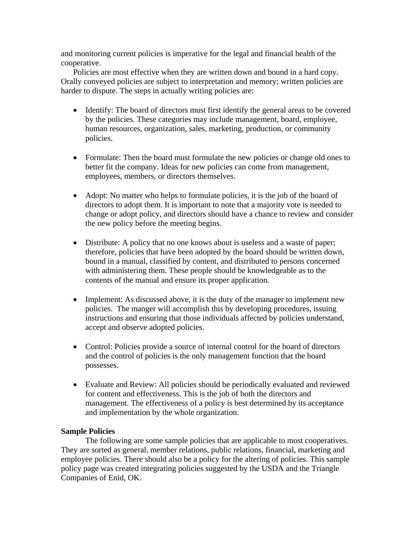and monitoring current policies is imperative for the legal and financial health of the cooperative.

Policies are most effective when they are written down and bound in a hard copy. Orally conveyed policies are subject to interpretation and memory; written policies are harder to dispute. The steps in actually writing policies are:

- Identify: The board of directors must first identify the general areas to be covered by the policies. These categories may include management, board, employee, human resources, organization, sales, marketing, production, or community policies.
- Formulate: Then the board must formulate the new policies or change old ones to better fit the company. Ideas for new policies can come from management, employees, members, or directors themselves.
- Adopt: No matter who helps to formulate policies, it is the job of the board of directors to adopt them. It is important to note that a majority vote is needed to change or adopt policy, and directors should have a chance to review and consider the new policy before the meeting begins.
- Distribute: A policy that no one knows about is useless and a waste of paper; therefore, policies that have been adopted by the board should be written down, bound in a manual, classified by content, and distributed to persons concerned with administering them. These people should be knowledgeable as to the contents of the manual and ensure its proper application.
- Implement: As discussed above, it is the duty of the manager to implement new policies. The manger will accomplish this by developing procedures, issuing instructions and ensuring that those individuals affected by policies understand, accept and observe adopted policies.
- Control: Policies provide a source of internal control for the board of directors and the control of policies is the only management function that the board possesses.
- Evaluate and Review: All policies should be periodically evaluated and reviewed for content and effectiveness. This is the job of both the directors and management. The effectiveness of a policy is best determined by its acceptance and implementation by the whole organization.

# **Sample Policies**

 The following are some sample policies that are applicable to most cooperatives. They are sorted as general, member relations, public relations, financial, marketing and employee policies. There should also be a policy for the altering of policies. This sample policy page was created integrating policies suggested by the USDA and the Triangle Companies of Enid, OK.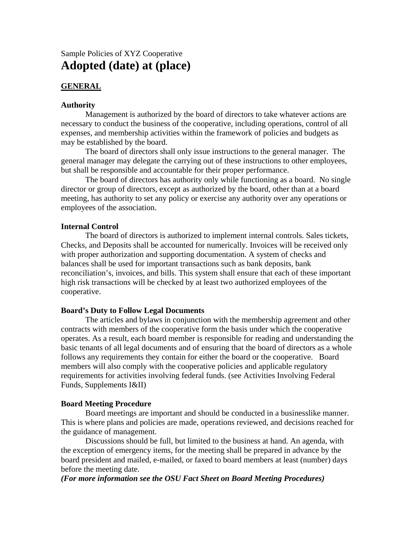# Sample Policies of XYZ Cooperative **Adopted (date) at (place)**

# **GENERAL**

# **Authority**

Management is authorized by the board of directors to take whatever actions are necessary to conduct the business of the cooperative, including operations, control of all expenses, and membership activities within the framework of policies and budgets as may be established by the board.

The board of directors shall only issue instructions to the general manager. The general manager may delegate the carrying out of these instructions to other employees, but shall be responsible and accountable for their proper performance.

The board of directors has authority only while functioning as a board. No single director or group of directors, except as authorized by the board, other than at a board meeting, has authority to set any policy or exercise any authority over any operations or employees of the association.

# **Internal Control**

The board of directors is authorized to implement internal controls. Sales tickets, Checks, and Deposits shall be accounted for numerically. Invoices will be received only with proper authorization and supporting documentation. A system of checks and balances shall be used for important transactions such as bank deposits, bank reconciliation's, invoices, and bills. This system shall ensure that each of these important high risk transactions will be checked by at least two authorized employees of the cooperative.

# **Board's Duty to Follow Legal Documents**

The articles and bylaws in conjunction with the membership agreement and other contracts with members of the cooperative form the basis under which the cooperative operates. As a result, each board member is responsible for reading and understanding the basic tenants of all legal documents and of ensuring that the board of directors as a whole follows any requirements they contain for either the board or the cooperative. Board members will also comply with the cooperative policies and applicable regulatory requirements for activities involving federal funds. (see Activities Involving Federal Funds, Supplements I&II)

#### **Board Meeting Procedure**

Board meetings are important and should be conducted in a businesslike manner. This is where plans and policies are made, operations reviewed, and decisions reached for the guidance of management.

Discussions should be full, but limited to the business at hand. An agenda, with the exception of emergency items, for the meeting shall be prepared in advance by the board president and mailed, e-mailed, or faxed to board members at least (number) days before the meeting date.

# *(For more information see the OSU Fact Sheet on Board Meeting Procedures)*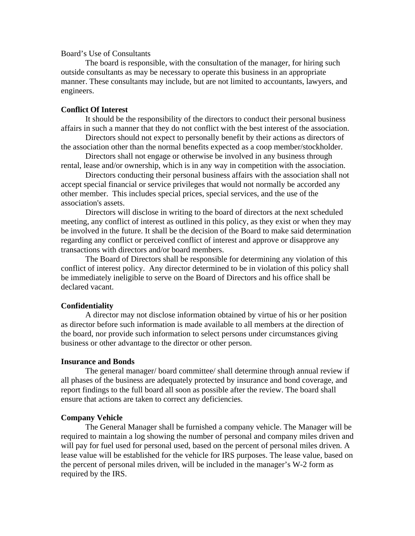# Board's Use of Consultants

The board is responsible, with the consultation of the manager, for hiring such outside consultants as may be necessary to operate this business in an appropriate manner. These consultants may include, but are not limited to accountants, lawyers, and engineers.

# **Conflict Of Interest**

It should be the responsibility of the directors to conduct their personal business affairs in such a manner that they do not conflict with the best interest of the association.

Directors should not expect to personally benefit by their actions as directors of the association other than the normal benefits expected as a coop member/stockholder.

Directors shall not engage or otherwise be involved in any business through rental, lease and/or ownership, which is in any way in competition with the association.

Directors conducting their personal business affairs with the association shall not accept special financial or service privileges that would not normally be accorded any other member. This includes special prices, special services, and the use of the association's assets.

Directors will disclose in writing to the board of directors at the next scheduled meeting, any conflict of interest as outlined in this policy, as they exist or when they may be involved in the future. It shall be the decision of the Board to make said determination regarding any conflict or perceived conflict of interest and approve or disapprove any transactions with directors and/or board members.

The Board of Directors shall be responsible for determining any violation of this conflict of interest policy. Any director determined to be in violation of this policy shall be immediately ineligible to serve on the Board of Directors and his office shall be declared vacant.

# **Confidentiality**

A director may not disclose information obtained by virtue of his or her position as director before such information is made available to all members at the direction of the board, nor provide such information to select persons under circumstances giving business or other advantage to the director or other person.

# **Insurance and Bonds**

The general manager/ board committee/ shall determine through annual review if all phases of the business are adequately protected by insurance and bond coverage, and report findings to the full board all soon as possible after the review. The board shall ensure that actions are taken to correct any deficiencies.

### **Company Vehicle**

The General Manager shall be furnished a company vehicle. The Manager will be required to maintain a log showing the number of personal and company miles driven and will pay for fuel used for personal used, based on the percent of personal miles driven. A lease value will be established for the vehicle for IRS purposes. The lease value, based on the percent of personal miles driven, will be included in the manager's W-2 form as required by the IRS.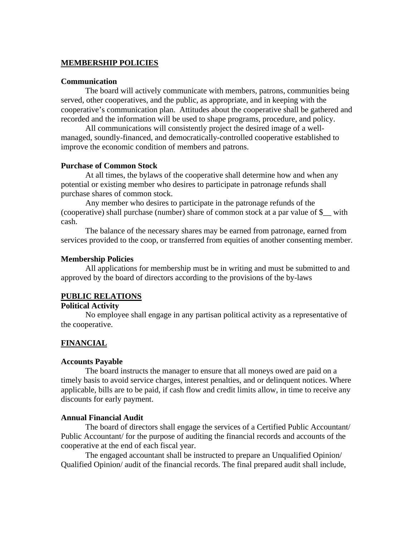# **MEMBERSHIP POLICIES**

### **Communication**

The board will actively communicate with members, patrons, communities being served, other cooperatives, and the public, as appropriate, and in keeping with the cooperative's communication plan. Attitudes about the cooperative shall be gathered and recorded and the information will be used to shape programs, procedure, and policy.

All communications will consistently project the desired image of a wellmanaged, soundly-financed, and democratically-controlled cooperative established to improve the economic condition of members and patrons.

### **Purchase of Common Stock**

At all times, the bylaws of the cooperative shall determine how and when any potential or existing member who desires to participate in patronage refunds shall purchase shares of common stock.

Any member who desires to participate in the patronage refunds of the (cooperative) shall purchase (number) share of common stock at a par value of \$\_\_ with cash.

The balance of the necessary shares may be earned from patronage, earned from services provided to the coop, or transferred from equities of another consenting member.

#### **Membership Policies**

All applications for membership must be in writing and must be submitted to and approved by the board of directors according to the provisions of the by-laws

#### **PUBLIC RELATIONS**

# **Political Activity**

No employee shall engage in any partisan political activity as a representative of the cooperative.

# **FINANCIAL**

### **Accounts Payable**

The board instructs the manager to ensure that all moneys owed are paid on a timely basis to avoid service charges, interest penalties, and or delinquent notices. Where applicable, bills are to be paid, if cash flow and credit limits allow, in time to receive any discounts for early payment.

### **Annual Financial Audit**

The board of directors shall engage the services of a Certified Public Accountant/ Public Accountant/ for the purpose of auditing the financial records and accounts of the cooperative at the end of each fiscal year.

The engaged accountant shall be instructed to prepare an Unqualified Opinion/ Qualified Opinion/ audit of the financial records. The final prepared audit shall include,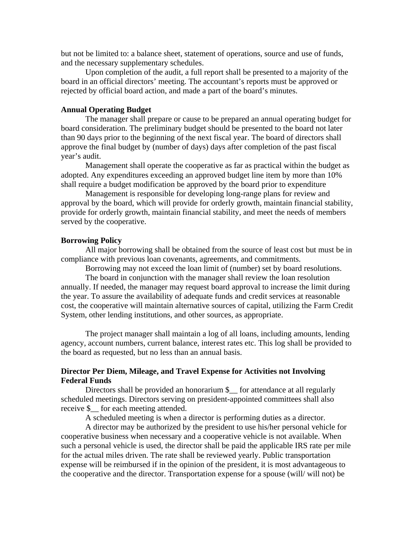but not be limited to: a balance sheet, statement of operations, source and use of funds, and the necessary supplementary schedules.

Upon completion of the audit, a full report shall be presented to a majority of the board in an official directors' meeting. The accountant's reports must be approved or rejected by official board action, and made a part of the board's minutes.

# **Annual Operating Budget**

The manager shall prepare or cause to be prepared an annual operating budget for board consideration. The preliminary budget should be presented to the board not later than 90 days prior to the beginning of the next fiscal year. The board of directors shall approve the final budget by (number of days) days after completion of the past fiscal year's audit.

Management shall operate the cooperative as far as practical within the budget as adopted. Any expenditures exceeding an approved budget line item by more than 10% shall require a budget modification be approved by the board prior to expenditure

Management is responsible for developing long-range plans for review and approval by the board, which will provide for orderly growth, maintain financial stability, provide for orderly growth, maintain financial stability, and meet the needs of members served by the cooperative.

#### **Borrowing Policy**

 All major borrowing shall be obtained from the source of least cost but must be in compliance with previous loan covenants, agreements, and commitments.

Borrowing may not exceed the loan limit of (number) set by board resolutions.

 The board in conjunction with the manager shall review the loan resolution annually. If needed, the manager may request board approval to increase the limit during the year. To assure the availability of adequate funds and credit services at reasonable cost, the cooperative will maintain alternative sources of capital, utilizing the Farm Credit System, other lending institutions, and other sources, as appropriate.

 The project manager shall maintain a log of all loans, including amounts, lending agency, account numbers, current balance, interest rates etc. This log shall be provided to the board as requested, but no less than an annual basis.

# **Director Per Diem, Mileage, and Travel Expense for Activities not Involving Federal Funds**

Directors shall be provided an honorarium \$\_\_ for attendance at all regularly scheduled meetings. Directors serving on president-appointed committees shall also receive \$ for each meeting attended.

A scheduled meeting is when a director is performing duties as a director.

 A director may be authorized by the president to use his/her personal vehicle for cooperative business when necessary and a cooperative vehicle is not available. When such a personal vehicle is used, the director shall be paid the applicable IRS rate per mile for the actual miles driven. The rate shall be reviewed yearly. Public transportation expense will be reimbursed if in the opinion of the president, it is most advantageous to the cooperative and the director. Transportation expense for a spouse (will/ will not) be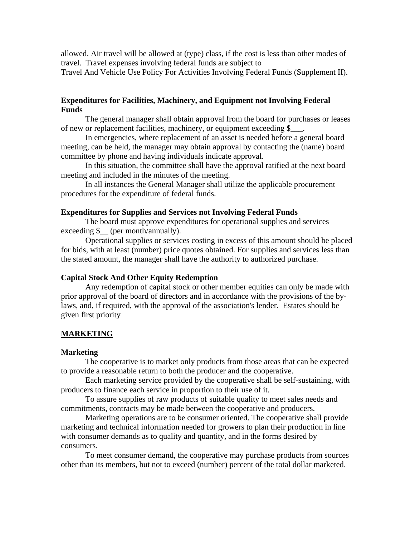allowed. Air travel will be allowed at (type) class, if the cost is less than other modes of travel. Travel expenses involving federal funds are subject to Travel And Vehicle Use Policy For Activities Involving Federal Funds (Supplement II).

# **Expenditures for Facilities, Machinery, and Equipment not Involving Federal Funds**

 The general manager shall obtain approval from the board for purchases or leases of new or replacement facilities, machinery, or equipment exceeding \$\_\_\_.

 In emergencies, where replacement of an asset is needed before a general board meeting, can be held, the manager may obtain approval by contacting the (name) board committee by phone and having individuals indicate approval.

 In this situation, the committee shall have the approval ratified at the next board meeting and included in the minutes of the meeting.

 In all instances the General Manager shall utilize the applicable procurement procedures for the expenditure of federal funds.

# **Expenditures for Supplies and Services not Involving Federal Funds**

 The board must approve expenditures for operational supplies and services exceeding  $\frac{1}{2}$  (per month/annually).

 Operational supplies or services costing in excess of this amount should be placed for bids, with at least (number) price quotes obtained. For supplies and services less than the stated amount, the manager shall have the authority to authorized purchase.

# **Capital Stock And Other Equity Redemption**

Any redemption of capital stock or other member equities can only be made with prior approval of the board of directors and in accordance with the provisions of the bylaws, and, if required, with the approval of the association's lender. Estates should be given first priority

# **MARKETING**

#### **Marketing**

The cooperative is to market only products from those areas that can be expected to provide a reasonable return to both the producer and the cooperative.

 Each marketing service provided by the cooperative shall be self-sustaining, with producers to finance each service in proportion to their use of it.

 To assure supplies of raw products of suitable quality to meet sales needs and commitments, contracts may be made between the cooperative and producers.

 Marketing operations are to be consumer oriented. The cooperative shall provide marketing and technical information needed for growers to plan their production in line with consumer demands as to quality and quantity, and in the forms desired by consumers.

 To meet consumer demand, the cooperative may purchase products from sources other than its members, but not to exceed (number) percent of the total dollar marketed.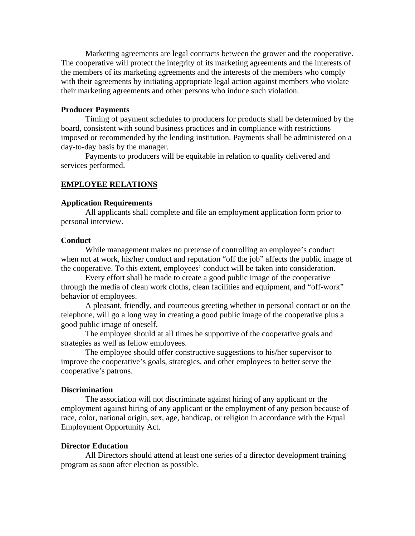Marketing agreements are legal contracts between the grower and the cooperative. The cooperative will protect the integrity of its marketing agreements and the interests of the members of its marketing agreements and the interests of the members who comply with their agreements by initiating appropriate legal action against members who violate their marketing agreements and other persons who induce such violation.

# **Producer Payments**

 Timing of payment schedules to producers for products shall be determined by the board, consistent with sound business practices and in compliance with restrictions imposed or recommended by the lending institution. Payments shall be administered on a day-to-day basis by the manager.

 Payments to producers will be equitable in relation to quality delivered and services performed.

# **EMPLOYEE RELATIONS**

#### **Application Requirements**

 All applicants shall complete and file an employment application form prior to personal interview.

#### **Conduct**

 While management makes no pretense of controlling an employee's conduct when not at work, his/her conduct and reputation "off the job" affects the public image of the cooperative. To this extent, employees' conduct will be taken into consideration.

 Every effort shall be made to create a good public image of the cooperative through the media of clean work cloths, clean facilities and equipment, and "off-work" behavior of employees.

 A pleasant, friendly, and courteous greeting whether in personal contact or on the telephone, will go a long way in creating a good public image of the cooperative plus a good public image of oneself.

 The employee should at all times be supportive of the cooperative goals and strategies as well as fellow employees.

 The employee should offer constructive suggestions to his/her supervisor to improve the cooperative's goals, strategies, and other employees to better serve the cooperative's patrons.

#### **Discrimination**

The association will not discriminate against hiring of any applicant or the employment against hiring of any applicant or the employment of any person because of race, color, national origin, sex, age, handicap, or religion in accordance with the Equal Employment Opportunity Act.

# **Director Education**

All Directors should attend at least one series of a director development training program as soon after election as possible.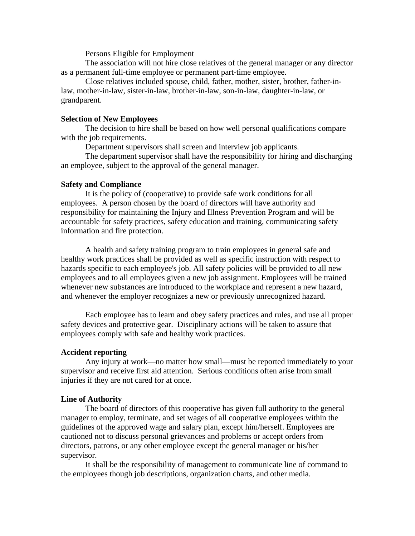Persons Eligible for Employment

 The association will not hire close relatives of the general manager or any director as a permanent full-time employee or permanent part-time employee.

 Close relatives included spouse, child, father, mother, sister, brother, father-inlaw, mother-in-law, sister-in-law, brother-in-law, son-in-law, daughter-in-law, or grandparent.

# **Selection of New Employees**

 The decision to hire shall be based on how well personal qualifications compare with the job requirements.

Department supervisors shall screen and interview job applicants.

 The department supervisor shall have the responsibility for hiring and discharging an employee, subject to the approval of the general manager.

# **Safety and Compliance**

It is the policy of (cooperative) to provide safe work conditions for all employees. A person chosen by the board of directors will have authority and responsibility for maintaining the Injury and Illness Prevention Program and will be accountable for safety practices, safety education and training, communicating safety information and fire protection.

A health and safety training program to train employees in general safe and healthy work practices shall be provided as well as specific instruction with respect to hazards specific to each employee's job. All safety policies will be provided to all new employees and to all employees given a new job assignment. Employees will be trained whenever new substances are introduced to the workplace and represent a new hazard, and whenever the employer recognizes a new or previously unrecognized hazard.

Each employee has to learn and obey safety practices and rules, and use all proper safety devices and protective gear. Disciplinary actions will be taken to assure that employees comply with safe and healthy work practices.

#### **Accident reporting**

Any injury at work—no matter how small—must be reported immediately to your supervisor and receive first aid attention. Serious conditions often arise from small injuries if they are not cared for at once.

### **Line of Authority**

The board of directors of this cooperative has given full authority to the general manager to employ, terminate, and set wages of all cooperative employees within the guidelines of the approved wage and salary plan, except him/herself. Employees are cautioned not to discuss personal grievances and problems or accept orders from directors, patrons, or any other employee except the general manager or his/her supervisor.

It shall be the responsibility of management to communicate line of command to the employees though job descriptions, organization charts, and other media.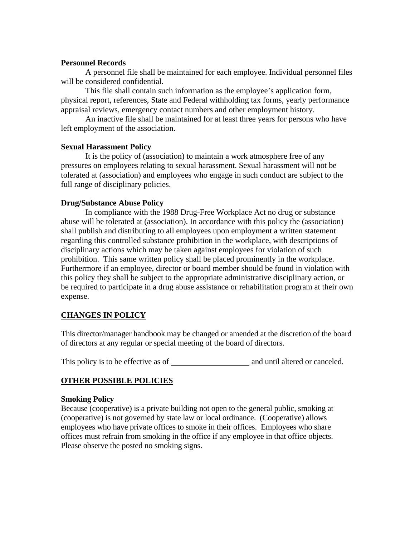# **Personnel Records**

A personnel file shall be maintained for each employee. Individual personnel files will be considered confidential.

This file shall contain such information as the employee's application form, physical report, references, State and Federal withholding tax forms, yearly performance appraisal reviews, emergency contact numbers and other employment history.

An inactive file shall be maintained for at least three years for persons who have left employment of the association.

# **Sexual Harassment Policy**

It is the policy of (association) to maintain a work atmosphere free of any pressures on employees relating to sexual harassment. Sexual harassment will not be tolerated at (association) and employees who engage in such conduct are subject to the full range of disciplinary policies.

# **Drug/Substance Abuse Policy**

In compliance with the 1988 Drug-Free Workplace Act no drug or substance abuse will be tolerated at (association). In accordance with this policy the (association) shall publish and distributing to all employees upon employment a written statement regarding this controlled substance prohibition in the workplace, with descriptions of disciplinary actions which may be taken against employees for violation of such prohibition. This same written policy shall be placed prominently in the workplace. Furthermore if an employee, director or board member should be found in violation with this policy they shall be subject to the appropriate administrative disciplinary action, or be required to participate in a drug abuse assistance or rehabilitation program at their own expense.

# **CHANGES IN POLICY**

This director/manager handbook may be changed or amended at the discretion of the board of directors at any regular or special meeting of the board of directors.

This policy is to be effective as of and until altered or canceled.

# **OTHER POSSIBLE POLICIES**

# **Smoking Policy**

Because (cooperative) is a private building not open to the general public, smoking at (cooperative) is not governed by state law or local ordinance. (Cooperative) allows employees who have private offices to smoke in their offices. Employees who share offices must refrain from smoking in the office if any employee in that office objects. Please observe the posted no smoking signs.